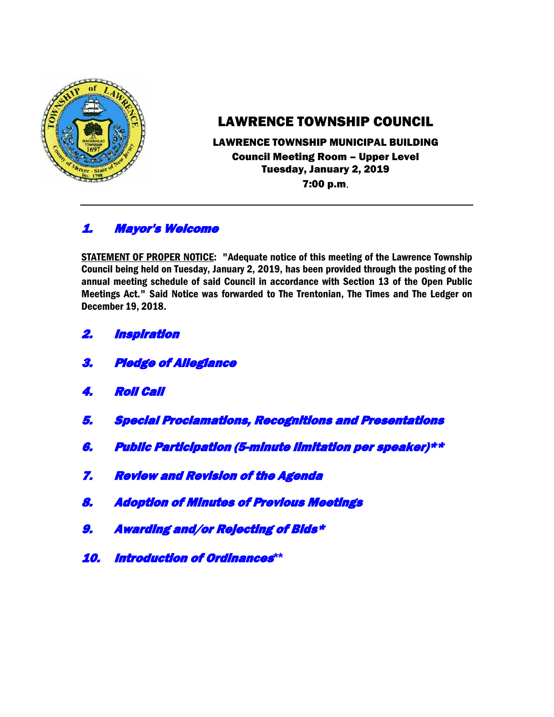

# LAWRENCE TOWNSHIP COUNCIL

## LAWRENCE TOWNSHIP MUNICIPAL BUILDING Council Meeting Room – Upper Level Tuesday, January 2, 2019 7:00 p.m.

# 1. Mayor's Welcome

STATEMENT OF PROPER NOTICE: "Adequate notice of this meeting of the Lawrence Township Council being held on Tuesday, January 2, 2019, has been provided through the posting of the annual meeting schedule of said Council in accordance with Section 13 of the Open Public Meetings Act." Said Notice was forwarded to The Trentonian, The Times and The Ledger on December 19, 2018.

- 2. Inspiration
- 3. Pledge of Allegiance
- 4. Roll Call
- 5. Special Proclamations, Recognitions and Presentations
- 6. Public Participation (5-minute limitation per speaker)\*\*
- 7. Review and Revision of the Agenda
- 8. Adoption of Minutes of Previous Meetings
- 9. Awarding and/or Rejecting of Bids\*
- 10. Introduction of Ordinances**\*\***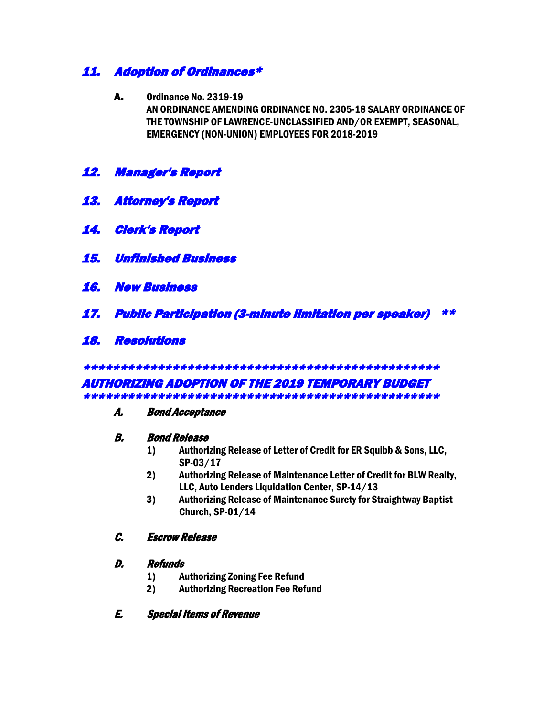## 11. Adoption of Ordinances\*

- A. Ordinance No. 2319-19 AN ORDINANCE AMENDING ORDINANCE NO. 2305-18 SALARY ORDINANCE OF THE TOWNSHIP OF LAWRENCE-UNCLASSIFIED AND/OR EXEMPT, SEASONAL, EMERGENCY (NON-UNION) EMPLOYEES FOR 2018-2019
- 12. Manager's Report
- 13. Attorney's Report
- 14. Clerk's Report
- 15. Unfinished Business
- 16. New Business
- 17. Public Participation (3-minute limitation per speaker) \*\*
- 18. Resolutions

\*\*\*\*\*\*\*\*\*\*\*\*\*\*\*\*\*\*\*\*\*\*\*\*\*\*\*\*\*\*\*\*\*\*\*\*\*\*\*\*\*\*\*\*\*\*\*\*

#### AUTHORIZING ADOPTION OF THE 2019 TEMPORARY BUDGET \*\*\*\*\*\*\*\*\*\*\*\*\*\*\*\*\*\*\*\*\*\*\*\*\*\*\*\*\*\*\*\*\*\*\*\*\*\*\*\*\*\*\*\*\*\*\*\*

#### A. Bond Acceptance

#### B. Bond Release

- 1) Authorizing Release of Letter of Credit for ER Squibb & Sons, LLC, SP-03/17
- 2) Authorizing Release of Maintenance Letter of Credit for BLW Realty, LLC, Auto Lenders Liquidation Center, SP-14/13
- 3) Authorizing Release of Maintenance Surety for Straightway Baptist Church, SP-01/14

#### C. Escrow Release

#### D. Refunds

- 1) Authorizing Zoning Fee Refund
- 2) Authorizing Recreation Fee Refund

#### E. Special Items of Revenue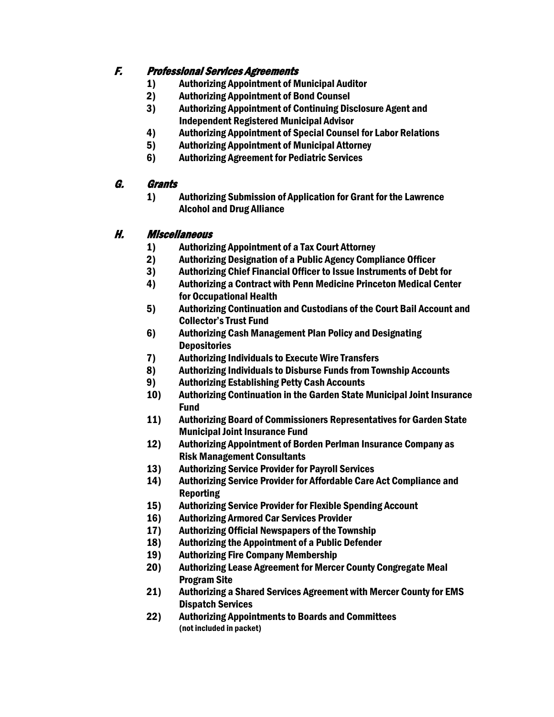## F. Professional Services Agreements

- 1) Authorizing Appointment of Municipal Auditor
- 2) Authorizing Appointment of Bond Counsel
- 3) Authorizing Appointment of Continuing Disclosure Agent and Independent Registered Municipal Advisor
- 4) Authorizing Appointment of Special Counsel for Labor Relations
- 5) Authorizing Appointment of Municipal Attorney
- 6) Authorizing Agreement for Pediatric Services

### G. Grants

1) Authorizing Submission of Application for Grant for the Lawrence Alcohol and Drug Alliance

### H. Miscellaneous

- 1) Authorizing Appointment of a Tax Court Attorney
- 2) Authorizing Designation of a Public Agency Compliance Officer
- 3) Authorizing Chief Financial Officer to Issue Instruments of Debt for
- 4) Authorizing a Contract with Penn Medicine Princeton Medical Center for Occupational Health
- 5) Authorizing Continuation and Custodians of the Court Bail Account and Collector's Trust Fund
- 6) Authorizing Cash Management Plan Policy and Designating **Depositories**
- 7) Authorizing Individuals to Execute Wire Transfers
- 8) Authorizing Individuals to Disburse Funds from Township Accounts
- 9) Authorizing Establishing Petty Cash Accounts
- 10) Authorizing Continuation in the Garden State Municipal Joint Insurance Fund
- 11) Authorizing Board of Commissioners Representatives for Garden State Municipal Joint Insurance Fund
- 12) Authorizing Appointment of Borden Perlman Insurance Company as Risk Management Consultants
- 13) Authorizing Service Provider for Payroll Services
- 14) Authorizing Service Provider for Affordable Care Act Compliance and **Reporting**
- 15) Authorizing Service Provider for Flexible Spending Account
- 16) Authorizing Armored Car Services Provider
- 17) Authorizing Official Newspapers of the Township
- 18) Authorizing the Appointment of a Public Defender
- 19) Authorizing Fire Company Membership
- 20) Authorizing Lease Agreement for Mercer County Congregate Meal Program Site
- 21) Authorizing a Shared Services Agreement with Mercer County for EMS Dispatch Services
- 22) Authorizing Appointments to Boards and Committees (not included in packet)